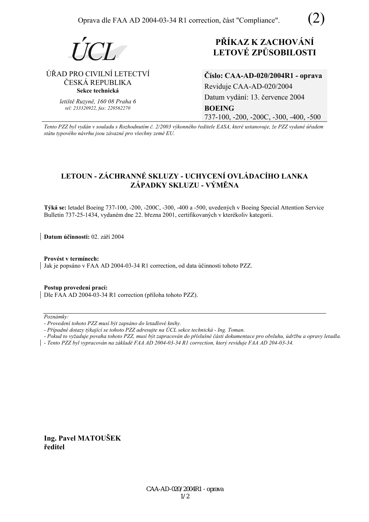



# **ÚŘAD PRO CIVILNÍ LETECTVÍ** ČESKÁ REPUBLIKA **Sekce technická**

*letiötě Ruzyně, 160 08 Praha 6 tel: 233320922, fax: 220562270*

# **PŘÍKAZ K ZACHOVÁNÍ LETOV… ZPŮSOBILOSTI**

**ČÌslo: CAA-AD-020/2004R1 - oprava**  Reviduje CAA-AD-020/2004 Datum vydání: 13. července 2004 **BOEING**  737-100, -200, -200C, -300, -400, -500

*Tento PZZ byl vyd·n v souladu s RozhodnutÌm č. 2/2003 v˝konnÈho ředitele EASA, kterÈ ustanovuje, ûe PZZ vydanÈ ˙řadem st·tu typovÈho n·vrhu jsou z·vaznÈ pro vöechny země EU.*

# LETOUN - ZÁCHRANNÉ SKLUZY - UCHYCENÍ OVLÁDACÍHO LANKA **Z£PADKY SKLUZU - V›MĚNA**

Týká se: letadel Boeing 737-100, -200, -200C, -300, -400 a -500, uvedených v Boeing Special Attention Service Bulletin 737-25-1434, vydaném dne 22. března 2001, certifikovaných v kterékoliv kategorii.

**Datum účinnosti:** 02. září 2004

Provést v termínech: Jak je popsáno v FAA AD 2004-03-34 R1 correction, od data účinnosti tohoto PZZ.

**Postup provedenÌ pracÌ:**  Dle FAA AD 2004-03-34 R1 correction (příloha tohoto PZZ).

 $Poznámkv:$ 

- *Pokud to vyûaduje povaha tohoto PZZ, musÌ b˝t zapracov·n do přÌsluönÈ č·sti dokumentace pro obsluhu, ˙drûbu a opravy letadla.*
- *Tento PZZ byl vypracov·n na z·kladě FAA AD 2004-03-34 R1 correction, kter˝ reviduje FAA AD 204-03-34.*

**Ing. Pavel MATOUäEK ředitel** 

*<sup>-</sup> ProvedenÌ tohoto PZZ musÌ b˝t zaps·no do letadlovÈ knihy.* 

<sup>-</sup> Případné dotazy týkající se tohoto PZZ adresujte na ÚCL sekce technická - Ing. Toman.